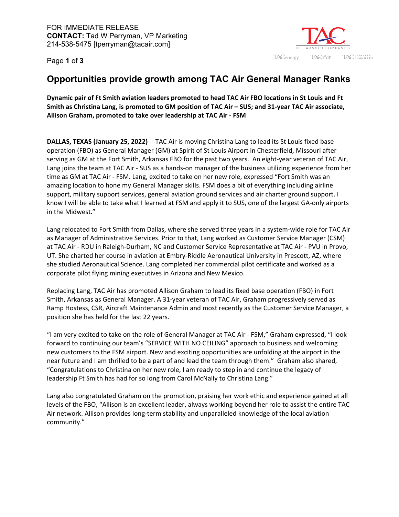Page **1** of **3**



## **Opportunities provide growth among TAC Air General Manager Ranks**

**Dynamic pair of Ft Smith aviation leaders promoted to head TAC Air FBO locations in St Louis and Ft Smith as Christina Lang, is promoted to GM position of TAC Air – SUS; and 31-year TAC Air associate, Allison Graham, promoted to take over leadership at TAC Air - FSM** 

**DALLAS, TEXAS (January 25, 2022)** -- TAC Air is moving Christina Lang to lead its St Louis fixed base operation (FBO) as General Manager (GM) at Spirit of St Louis Airport in Chesterfield, Missouri after serving as GM at the Fort Smith, Arkansas FBO for the past two years. An eight-year veteran of TAC Air, Lang joins the team at TAC Air - SUS as a hands-on manager of the business utilizing experience from her time as GM at TAC Air - FSM. Lang, excited to take on her new role, expressed "Fort Smith was an amazing location to hone my General Manager skills. FSM does a bit of everything including airline support, military support services, general aviation ground services and air charter ground support. I know I will be able to take what I learned at FSM and apply it to SUS, one of the largest GA-only airports in the Midwest."

Lang relocated to Fort Smith from Dallas, where she served three years in a system-wide role for TAC Air as Manager of Administrative Services. Prior to that, Lang worked as Customer Service Manager (CSM) at TAC Air - RDU in Raleigh-Durham, NC and Customer Service Representative at TAC Air - PVU in Provo, UT. She charted her course in aviation at Embry-Riddle Aeronautical University in Prescott, AZ, where she studied Aeronautical Science. Lang completed her commercial pilot certificate and worked as a corporate pilot flying mining executives in Arizona and New Mexico.

Replacing Lang, TAC Air has promoted Allison Graham to lead its fixed base operation (FBO) in Fort Smith, Arkansas as General Manager. A 31-year veteran of TAC Air, Graham progressively served as Ramp Hostess, CSR, Aircraft Maintenance Admin and most recently as the Customer Service Manager, a position she has held for the last 22 years.

"I am very excited to take on the role of General Manager at TAC Air - FSM," Graham expressed, "I look forward to continuing our team's "SERVICE WITH NO CEILING" approach to business and welcoming new customers to the FSM airport. New and exciting opportunities are unfolding at the airport in the near future and I am thrilled to be a part of and lead the team through them." Graham also shared, "Congratulations to Christina on her new role, I am ready to step in and continue the legacy of leadership Ft Smith has had for so long from Carol McNally to Christina Lang."

Lang also congratulated Graham on the promotion, praising her work ethic and experience gained at all levels of the FBO, "Allison is an excellent leader, always working beyond her role to assist the entire TAC Air network. Allison provides long-term stability and unparalleled knowledge of the local aviation community."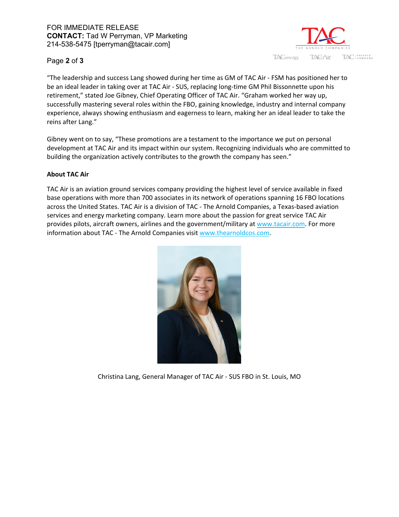

## Page **2** of **3**

"The leadership and success Lang showed during her time as GM of TAC Air - FSM has positioned her to be an ideal leader in taking over at TAC Air - SUS, replacing long-time GM Phil Bissonnette upon his retirement," stated Joe Gibney, Chief Operating Officer of TAC Air. "Graham worked her way up, successfully mastering several roles within the FBO, gaining knowledge, industry and internal company experience, always showing enthusiasm and eagerness to learn, making her an ideal leader to take the reins after Lang."

Gibney went on to say, "These promotions are a testament to the importance we put on personal development at TAC Air and its impact within our system. Recognizing individuals who are committed to building the organization actively contributes to the growth the company has seen."

## **About TAC Air**

TAC Air is an aviation ground services company providing the highest level of service available in fixed base operations with more than 700 associates in its network of operations spanning 16 FBO locations across the United States. TAC Air is a division of TAC - The Arnold Companies, a Texas-based aviation services and energy marketing company. Learn more about the passion for great service TAC Air provides pilots, aircraft owners, airlines and the government/military at [www.tacair.com.](https://www.tacair.com/) For more information about TAC - The Arnold Companies visit [www.thearnoldcos.com.](http://www.thearnoldcos.com/)



Christina Lang, General Manager of TAC Air - SUS FBO in St. Louis, MO